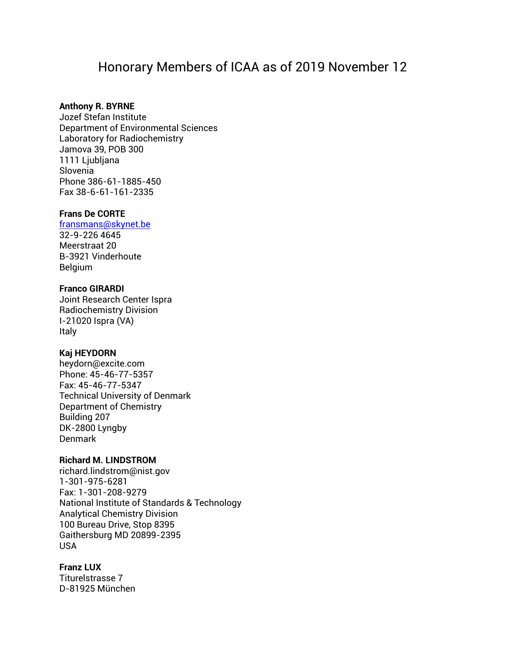# Honorary Members of ICAA as of 2019 November 12

# **Anthony R. BYRNE**

Jozef Stefan Institute Department of Environmental Sciences Laboratory for Radiochemistry Jamova 39, POB 300 1111 Ljubljana Slovenia Phone 386-61-1885-450 Fax 38-6-61-161-2335

#### **Frans De CORTE**

## [fransmans@skynet.be](mailto:fransmans@skynet.be)

32-9-226 4645 Meerstraat 20 B-3921 Vinderhoute Belgium

## **Franco GIRARDI**

Joint Research Center Ispra Radiochemistry Division I-21020 Ispra (VA) Italy

#### **Kaj HEYDORN**

heydorn@excite.com Phone: 45-46-77-5357 Fax: 45-46-77-5347 Technical University of Denmark Department of Chemistry Building 207 DK-2800 Lyngby Denmark

#### **Richard M. LINDSTROM**

richard.lindstrom@nist.gov 1-301-975-6281 Fax: 1-301-208-9279 National Institute of Standards & Technology Analytical Chemistry Division 100 Bureau Drive, Stop 8395 Gaithersburg MD 20899-2395 USA

# **Franz LUX**

Titurelstrasse 7 D-81925 München